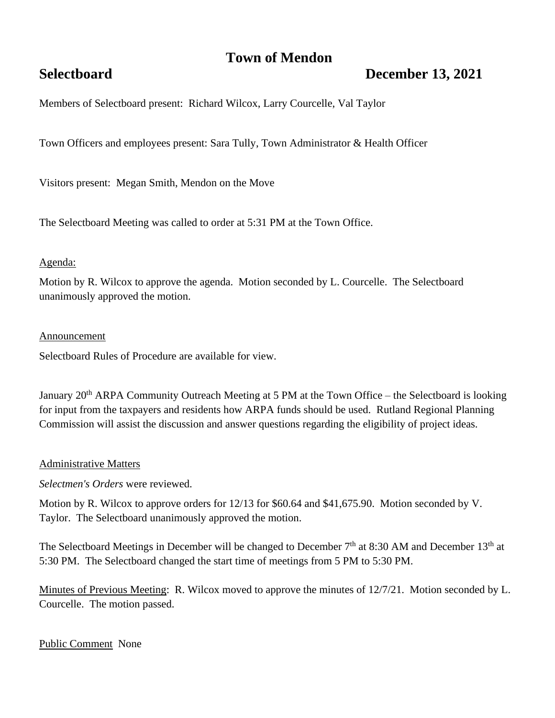## **Town of Mendon**

# **Selectboard December 13, 2021**

Members of Selectboard present: Richard Wilcox, Larry Courcelle, Val Taylor

Town Officers and employees present: Sara Tully, Town Administrator & Health Officer

Visitors present: Megan Smith, Mendon on the Move

The Selectboard Meeting was called to order at 5:31 PM at the Town Office.

#### Agenda:

Motion by R. Wilcox to approve the agenda. Motion seconded by L. Courcelle. The Selectboard unanimously approved the motion.

#### Announcement

Selectboard Rules of Procedure are available for view.

January 20<sup>th</sup> ARPA Community Outreach Meeting at 5 PM at the Town Office – the Selectboard is looking for input from the taxpayers and residents how ARPA funds should be used. Rutland Regional Planning Commission will assist the discussion and answer questions regarding the eligibility of project ideas.

#### Administrative Matters

*Selectmen's Orders* were reviewed.

Motion by R. Wilcox to approve orders for 12/13 for \$60.64 and \$41,675.90. Motion seconded by V. Taylor. The Selectboard unanimously approved the motion.

The Selectboard Meetings in December will be changed to December  $7<sup>th</sup>$  at 8:30 AM and December 13<sup>th</sup> at 5:30 PM. The Selectboard changed the start time of meetings from 5 PM to 5:30 PM.

Minutes of Previous Meeting: R. Wilcox moved to approve the minutes of 12/7/21. Motion seconded by L. Courcelle. The motion passed.

### Public Comment None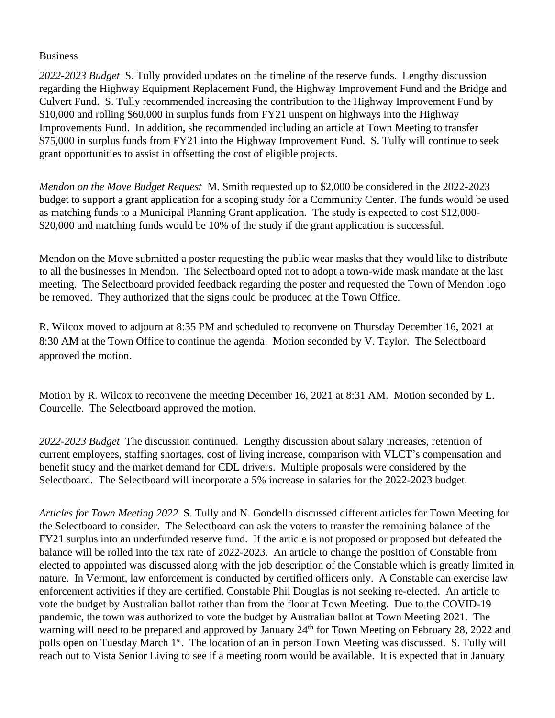#### Business

*2022-2023 Budget* S. Tully provided updates on the timeline of the reserve funds. Lengthy discussion regarding the Highway Equipment Replacement Fund, the Highway Improvement Fund and the Bridge and Culvert Fund. S. Tully recommended increasing the contribution to the Highway Improvement Fund by \$10,000 and rolling \$60,000 in surplus funds from FY21 unspent on highways into the Highway Improvements Fund. In addition, she recommended including an article at Town Meeting to transfer \$75,000 in surplus funds from FY21 into the Highway Improvement Fund. S. Tully will continue to seek grant opportunities to assist in offsetting the cost of eligible projects.

*Mendon on the Move Budget Request* M. Smith requested up to \$2,000 be considered in the 2022-2023 budget to support a grant application for a scoping study for a Community Center. The funds would be used as matching funds to a Municipal Planning Grant application. The study is expected to cost \$12,000- \$20,000 and matching funds would be 10% of the study if the grant application is successful.

Mendon on the Move submitted a poster requesting the public wear masks that they would like to distribute to all the businesses in Mendon. The Selectboard opted not to adopt a town-wide mask mandate at the last meeting. The Selectboard provided feedback regarding the poster and requested the Town of Mendon logo be removed. They authorized that the signs could be produced at the Town Office.

R. Wilcox moved to adjourn at 8:35 PM and scheduled to reconvene on Thursday December 16, 2021 at 8:30 AM at the Town Office to continue the agenda. Motion seconded by V. Taylor. The Selectboard approved the motion.

Motion by R. Wilcox to reconvene the meeting December 16, 2021 at 8:31 AM. Motion seconded by L. Courcelle. The Selectboard approved the motion.

*2022-2023 Budget* The discussion continued. Lengthy discussion about salary increases, retention of current employees, staffing shortages, cost of living increase, comparison with VLCT's compensation and benefit study and the market demand for CDL drivers. Multiple proposals were considered by the Selectboard. The Selectboard will incorporate a 5% increase in salaries for the 2022-2023 budget.

*Articles for Town Meeting 2022* S. Tully and N. Gondella discussed different articles for Town Meeting for the Selectboard to consider. The Selectboard can ask the voters to transfer the remaining balance of the FY21 surplus into an underfunded reserve fund. If the article is not proposed or proposed but defeated the balance will be rolled into the tax rate of 2022-2023. An article to change the position of Constable from elected to appointed was discussed along with the job description of the Constable which is greatly limited in nature. In Vermont, law enforcement is conducted by certified officers only. A Constable can exercise law enforcement activities if they are certified. Constable Phil Douglas is not seeking re-elected. An article to vote the budget by Australian ballot rather than from the floor at Town Meeting. Due to the COVID-19 pandemic, the town was authorized to vote the budget by Australian ballot at Town Meeting 2021. The warning will need to be prepared and approved by January 24<sup>th</sup> for Town Meeting on February 28, 2022 and polls open on Tuesday March 1<sup>st</sup>. The location of an in person Town Meeting was discussed. S. Tully will reach out to Vista Senior Living to see if a meeting room would be available. It is expected that in January